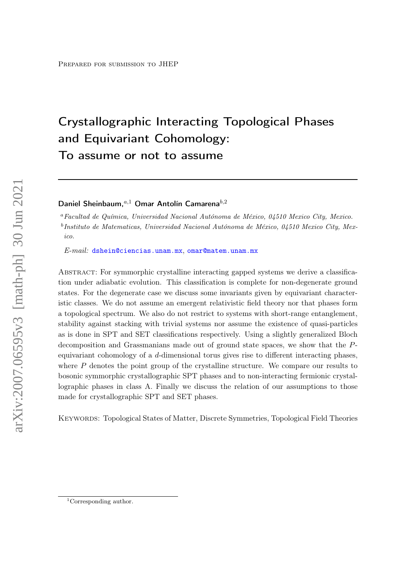# Crystallographic Interacting Topological Phases and Equivariant Cohomology: To assume or not to assume

# Daniel Sheinbaum. $a,1}$  Omar Antolín Camarena $b,2$

<sup>a</sup>Facultad de Química, Universidad Nacional Autónoma de México, 04510 Mexico City, Mexico. <sup>b</sup>Instituto de Matematicas, Universidad Nacional Autónoma de México, 04510 Mexico City, Mexico.

E-mail: [dshein@ciencias.unam.mx](mailto:dshein@ciencias.unam.mx), [omar@matem.unam.mx](mailto:omar@matem.unam.mx)

Abstract: For symmorphic crystalline interacting gapped systems we derive a classification under adiabatic evolution. This classification is complete for non-degenerate ground states. For the degenerate case we discuss some invariants given by equivariant characteristic classes. We do not assume an emergent relativistic field theory nor that phases form a topological spectrum. We also do not restrict to systems with short-range entanglement, stability against stacking with trivial systems nor assume the existence of quasi-particles as is done in SPT and SET classifications respectively. Using a slightly generalized Bloch decomposition and Grassmanians made out of ground state spaces, we show that the Pequivariant cohomology of a  $d$ -dimensional torus gives rise to different interacting phases, where  $P$  denotes the point group of the crystalline structure. We compare our results to bosonic symmorphic crystallographic SPT phases and to non-interacting fermionic crystallographic phases in class A. Finally we discuss the relation of our assumptions to those made for crystallographic SPT and SET phases.

Keywords: Topological States of Matter, Discrete Symmetries, Topological Field Theories

<sup>&</sup>lt;sup>1</sup>Corresponding author.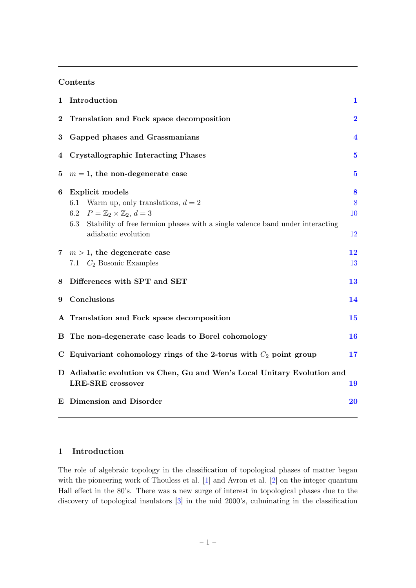# Contents

| 1                | Introduction                                                                                                                                                                                                                                | 1                  |
|------------------|---------------------------------------------------------------------------------------------------------------------------------------------------------------------------------------------------------------------------------------------|--------------------|
| $\bf{2}$         | Translation and Fock space decomposition                                                                                                                                                                                                    | $\bf{2}$           |
| $\boldsymbol{3}$ | Gapped phases and Grassmanians                                                                                                                                                                                                              | 4                  |
| 4                | <b>Crystallographic Interacting Phases</b>                                                                                                                                                                                                  | $\bf{5}$           |
| 5                | $m = 1$ , the non-degenerate case                                                                                                                                                                                                           | $\bf{5}$           |
| 6                | <b>Explicit models</b><br>Warm up, only translations, $d = 2$<br>6.1<br>$P = \mathbb{Z}_2 \times \mathbb{Z}_2, d = 3$<br>6.2<br>Stability of free fermion phases with a single valence band under interacting<br>6.3<br>adiabatic evolution | 8<br>8<br>10<br>12 |
| $7\phantom{.}$   | $m > 1$ , the degenerate case<br>7.1 $C_2$ Bosonic Examples                                                                                                                                                                                 | 12<br>13           |
| 8                | Differences with SPT and SET                                                                                                                                                                                                                | 13                 |
| 9                | Conclusions                                                                                                                                                                                                                                 | 14                 |
|                  | A Translation and Fock space decomposition                                                                                                                                                                                                  | 15                 |
| в                | The non-degenerate case leads to Borel cohomology                                                                                                                                                                                           | 16                 |
| $\mathbf C$      | Equivariant cohomology rings of the 2-torus with $C_2$ point group                                                                                                                                                                          | 17                 |
|                  | D Adiabatic evolution vs Chen, Gu and Wen's Local Unitary Evolution and<br><b>LRE-SRE</b> crossover                                                                                                                                         | 19                 |
|                  | <b>E</b> Dimension and Disorder                                                                                                                                                                                                             | <b>20</b>          |

# <span id="page-1-0"></span>1 Introduction

The role of algebraic topology in the classification of topological phases of matter began with the pioneering work of Thouless et al. [\[1\]](#page-20-1) and Avron et al. [\[2\]](#page-20-2) on the integer quantum Hall effect in the 80's. There was a new surge of interest in topological phases due to the discovery of topological insulators [\[3\]](#page-20-3) in the mid 2000's, culminating in the classification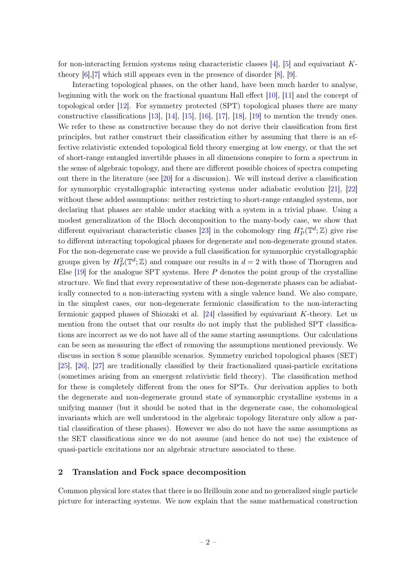for non-interacting fermion systems using characteristic classes  $[4]$ ,  $[5]$  and equivariant Ktheory [\[6\]](#page-20-6),[\[7\]](#page-20-7) which still appears even in the presence of disorder [\[8\]](#page-20-8), [\[9\]](#page-20-9).

Interacting topological phases, on the other hand, have been much harder to analyse, beginning with the work on the fractional quantum Hall effect [\[10\]](#page-20-10), [\[11\]](#page-20-11) and the concept of topological order [\[12\]](#page-20-12). For symmetry protected (SPT) topological phases there are many constructive classifications [\[13\]](#page-20-13), [\[14\]](#page-21-0), [\[15\]](#page-21-1), [\[16\]](#page-21-2), [\[17\]](#page-21-3), [\[18\]](#page-21-4), [\[19\]](#page-21-5) to mention the trendy ones. We refer to these as constructive because they do not derive their classification from first principles, but rather construct their classification either by assuming that there is an effective relativistic extended topological field theory emerging at low energy, or that the set of short-range entangled invertible phases in all dimensions conspire to form a spectrum in the sense of algebraic topology, and there are different possible choices of spectra competing out there in the literature (see [\[20\]](#page-21-6) for a discussion). We will instead derive a classification for symmorphic crystallographic interacting systems under adiabatic evolution [\[21\]](#page-21-7), [\[22\]](#page-21-8) without these added assumptions: neither restricting to short-range entangled systems, nor declaring that phases are stable under stacking with a system in a trivial phase. Using a modest generalization of the Bloch decomposition to the many-body case, we show that different equivariant characteristic classes [\[23\]](#page-21-9) in the cohomology ring  $H_P^*(\mathbb{T}^d;\mathbb{Z})$  give rise to different interacting topological phases for degenerate and non-degenerate ground states. For the non-degenerate case we provide a full classification for symmorphic crystallographic groups given by  $H_P^2(\mathbb{T}^d; \mathbb{Z})$  and compare our results in  $d = 2$  with those of Thorngren and Else  $[19]$  for the analogue SPT systems. Here P denotes the point group of the crystalline structure. We find that every representative of these non-degenerate phases can be adiabatically connected to a non-interacting system with a single valence band. We also compare, in the simplest cases, our non-degenerate fermionic classification to the non-interacting fermionic gapped phases of Shiozaki et al.  $[24]$  classified by equivariant K-theory. Let us mention from the outset that our results do not imply that the published SPT classifications are incorrect as we do not have all of the same starting assumptions. Our calculations can be seen as measuring the effect of removing the assumptions mentioned previously. We discuss in section [8](#page-13-1) some plausible scenarios. Symmetry enriched topological phases (SET) [\[25\]](#page-21-11), [\[26\]](#page-21-12), [\[27\]](#page-21-13) are traditionally classified by their fractionalized quasi-particle excitations (sometimes arising from an emergent relativistic field theory). The classification method for these is completely different from the ones for SPTs. Our derivation applies to both the degenerate and non-degenerate ground state of symmorphic crystalline systems in a unifying manner (but it should be noted that in the degenerate case, the cohomological invariants which are well understood in the algebraic topology literature only allow a partial classification of these phases). However we also do not have the same assumptions as the SET classifications since we do not assume (and hence do not use) the existence of quasi-particle excitations nor an algebraic structure associated to these.

#### <span id="page-2-0"></span>2 Translation and Fock space decomposition

Common physical lore states that there is no Brillouin zone and no generalized single particle picture for interacting systems. We now explain that the same mathematical construction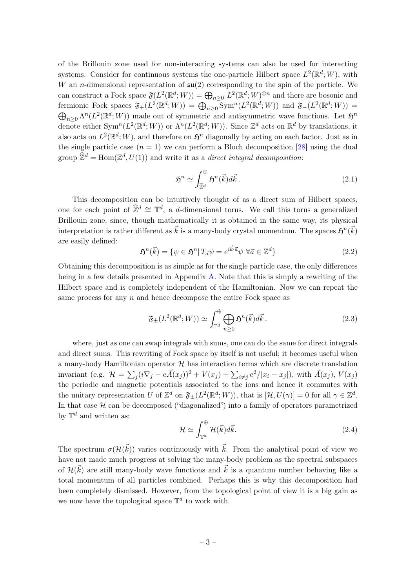of the Brillouin zone used for non-interacting systems can also be used for interacting systems. Consider for continuous systems the one-particle Hilbert space  $L^2(\mathbb{R}^d;W)$ , with W an *n*-dimensional representation of  $\mathfrak{su}(2)$  corresponding to the spin of the particle. We can construct a Fock space  $\mathfrak{F}(L^2(\mathbb{R}^d; W)) = \bigoplus_{n \geq 0} L^2(\mathbb{R}^d; W)^{\otimes n}$  and there are bosonic and fermionic Fock spaces  $\mathfrak{F}_+(L^2(\mathbb{R}^d; W)) = \bigoplus_{n \geq 0} \text{Sym}^n(L^2(\mathbb{R}^d; W))$  and  $\mathfrak{F}_-(L^2(\mathbb{R}^d; W)) =$  $\bigoplus_{n\geq 0} \Lambda^n(L^2(\mathbb{R}^d; W))$  made out of symmetric and antisymmetric wave functions. Let  $\mathfrak{H}^n$ denote either  $Sym^n(L^2(\mathbb{R}^d;W))$  or  $\Lambda^n(L^2(\mathbb{R}^d;W))$ . Since  $\mathbb{Z}^d$  acts on  $\mathbb{R}^d$  by translations, it also acts on  $L^2(\mathbb{R}^d; W)$ , and therefore on  $\mathfrak{H}^n$  diagonally by acting on each factor. Just as in the single particle case  $(n = 1)$  we can perform a Bloch decomposition [\[28\]](#page-21-14) using the dual group  $\widehat{\mathbb{Z}}^d = \text{Hom}(\mathbb{Z}^d, U(1))$  and write it as a *direct integral decomposition*:

$$
\mathfrak{H}^n \simeq \int_{\widehat{\mathbb{Z}}^d}^{\oplus} \mathfrak{H}^n(\vec{k}) d\vec{k} \,. \tag{2.1}
$$

This decomposition can be intuitively thought of as a direct sum of Hilbert spaces, one for each point of  $\hat{\mathbb{Z}}^d \cong \mathbb{T}^d$ , a d-dimensional torus. We call this torus a generalized Brillouin zone, since, though mathematically it is obtained in the same way, its physical interpretation is rather different as  $\vec{k}$  is a many-body crystal momentum. The spaces  $\mathfrak{H}^n(\vec{k})$ are easily defined:

$$
\mathfrak{H}^n(\vec{k}) = \{ \psi \in \mathfrak{H}^n | T_{\vec{a}} \psi = e^{i\vec{k}\cdot\vec{a}} \psi \ \forall \vec{a} \in \mathbb{Z}^d \}
$$
\n
$$
(2.2)
$$

Obtaining this decomposition is as simple as for the single particle case, the only differences being in a few details presented in Appendix [A.](#page-15-0) Note that this is simply a rewriting of the Hilbert space and is completely independent of the Hamiltonian. Now we can repeat the same process for any n and hence decompose the entire Fock space as

$$
\mathfrak{F}_{\pm}(L^2(\mathbb{R}^d;W)) \simeq \int_{\mathbb{T}^d}^{\oplus} \bigoplus_{n \geq 0} \mathfrak{H}^n(\vec{k}) d\vec{k} \,. \tag{2.3}
$$

where, just as one can swap integrals with sums, one can do the same for direct integrals and direct sums. This rewriting of Fock space by itself is not useful; it becomes useful when a many-body Hamiltonian operator  $H$  has interaction terms which are discrete translation invariant (e.g.  $\mathcal{H} = \sum_j (i\nabla_j - e\vec{A}(x_j))^2 + V(x_j) + \sum_{i \neq j} e^2/|x_i - x_j|)$ , with  $\vec{A}(x_j)$ ,  $V(x_j)$ the periodic and magnetic potentials associated to the ions and hence it commutes with the unitary representation U of  $\mathbb{Z}^d$  on  $\mathfrak{F}_{\pm}(L^2(\mathbb{R}^d;W))$ , that is  $[\mathcal{H}, U(\gamma)]=0$  for all  $\gamma \in \mathbb{Z}^d$ . In that case  $H$  can be decomposed ("diagonalized") into a family of operators parametrized by  $\mathbb{T}^d$  and written as:

$$
\mathcal{H} \simeq \int_{\mathbb{T}^d}^{\oplus} \mathcal{H}(\vec{k}) d\vec{k}.\tag{2.4}
$$

The spectrum  $\sigma(\mathcal{H}(\vec{k}))$  varies continuously with  $\vec{k}$ . From the analytical point of view we have not made much progress at solving the many-body problem as the spectral subspaces of  $\mathcal{H}(\vec{k})$  are still many-body wave functions and  $\vec{k}$  is a quantum number behaving like a total momentum of all particles combined. Perhaps this is why this decomposition had been completely dismissed. However, from the topological point of view it is a big gain as we now have the topological space  $\mathbb{T}^d$  to work with.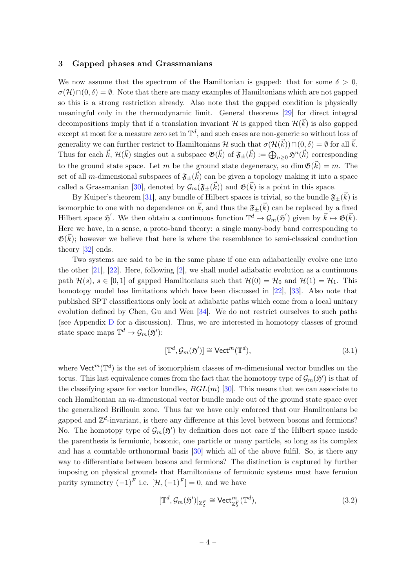#### <span id="page-4-0"></span>3 Gapped phases and Grassmanians

We now assume that the spectrum of the Hamiltonian is gapped: that for some  $\delta > 0$ ,  $\sigma(\mathcal{H}) \cap (0, \delta) = \emptyset$ . Note that there are many examples of Hamiltonians which are not gapped so this is a strong restriction already. Also note that the gapped condition is physically meaningful only in the thermodynamic limit. General theorems [\[29\]](#page-21-15) for direct integral decompositions imply that if a translation invariant H is gapped then  $\mathcal{H}(\vec{k})$  is also gapped except at most for a measure zero set in  $\mathbb{T}^d$ , and such cases are non-generic so without loss of generality we can further restrict to Hamiltonians H such that  $\sigma(\mathcal{H}(\vec{k})) \cap (0,\delta) = \emptyset$  for all  $\vec{k}$ . Thus for each  $\vec{k}$ ,  $\mathcal{H}(\vec{k})$  singles out a subspace  $\mathfrak{G}(\vec{k})$  of  $\mathfrak{F}_{\pm}(\vec{k}) := \bigoplus_{n \geq 0} \mathfrak{H}^n(\vec{k})$  corresponding to the ground state space. Let m be the ground state degeneracy, so dim  $\mathfrak{G}(\vec{k}) = m$ . The set of all *m*-dimensional subspaces of  $\mathfrak{F}_{\pm}(\vec{k})$  can be given a topology making it into a space called a Grassmanian [\[30\]](#page-21-16), denoted by  $\mathcal{G}_m(\mathfrak{F}_{\pm}(\vec{k}))$  and  $\mathfrak{G}(\vec{k})$  is a point in this space.

By Kuiper's theorem [\[31\]](#page-21-17), any bundle of Hilbert spaces is trivial, so the bundle  $\mathfrak{F}_{\pm}(\vec{k})$  is isomorphic to one with no dependence on  $\vec{k}$ , and thus the  $\mathfrak{F}_\pm(\vec{k})$  can be replaced by a fixed Hilbert space  $\mathfrak{H}'$ . We then obtain a continuous function  $\mathbb{T}^d \to \mathcal{G}_m(\mathfrak{H}')$  given by  $\vec{k} \mapsto \mathfrak{G}(\vec{k})$ . Here we have, in a sense, a proto-band theory: a single many-body band corresponding to  $\mathfrak{G}(\vec{k})$ ; however we believe that here is where the resemblance to semi-classical conduction theory [\[32\]](#page-21-18) ends.

Two systems are said to be in the same phase if one can adiabatically evolve one into the other [\[21\]](#page-21-7), [\[22\]](#page-21-8). Here, following [\[2\]](#page-20-2), we shall model adiabatic evolution as a continuous path  $\mathcal{H}(s)$ ,  $s \in [0, 1]$  of gapped Hamiltonians such that  $\mathcal{H}(0) = \mathcal{H}_0$  and  $\mathcal{H}(1) = \mathcal{H}_1$ . This homotopy model has limitations which have been discussed in [\[22\]](#page-21-8), [\[33\]](#page-21-19). Also note that published SPT classifications only look at adiabatic paths which come from a local unitary evolution defined by Chen, Gu and Wen [\[34\]](#page-21-20). We do not restrict ourselves to such paths (see Appendix [D](#page-19-0) for a discussion). Thus, we are interested in homotopy classes of ground state space maps  $\mathbb{T}^d \to \mathcal{G}_m(\mathfrak{H}')$ :

$$
[\mathbb{T}^d, \mathcal{G}_m(\mathfrak{H}')] \cong \text{Vect}^m(\mathbb{T}^d),\tag{3.1}
$$

where  $\mathsf{Vect}^m(\mathbb{T}^d)$  is the set of isomorphism classes of m-dimensional vector bundles on the torus. This last equivalence comes from the fact that the homotopy type of  $\mathcal{G}_m(\mathfrak{H}')$  is that of the classifying space for vector bundles,  $BGL(m)$  [\[30\]](#page-21-16). This means that we can associate to each Hamiltonian an m-dimensional vector bundle made out of the ground state space over the generalized Brillouin zone. Thus far we have only enforced that our Hamiltonians be gapped and  $\mathbb{Z}^d$ -invariant, is there any difference at this level between bosons and fermions? No. The homotopy type of  $\mathcal{G}_m(\mathfrak{H}')$  by definition does not care if the Hilbert space inside the parenthesis is fermionic, bosonic, one particle or many particle, so long as its complex and has a countable orthonormal basis [\[30\]](#page-21-16) which all of the above fulfil. So, is there any way to differentiate between bosons and fermions? The distinction is captured by further imposing on physical grounds that Hamiltonians of fermionic systems must have fermion parity symmetry  $(-1)^F$  i.e.  $[\mathcal{H},(-1)^F] = 0$ , and we have

$$
[\mathbb{T}^d, \mathcal{G}_m(\mathfrak{H}')]_{\mathbb{Z}_2^F} \cong \text{Vect}_{\mathbb{Z}_2^F}^m(\mathbb{T}^d),\tag{3.2}
$$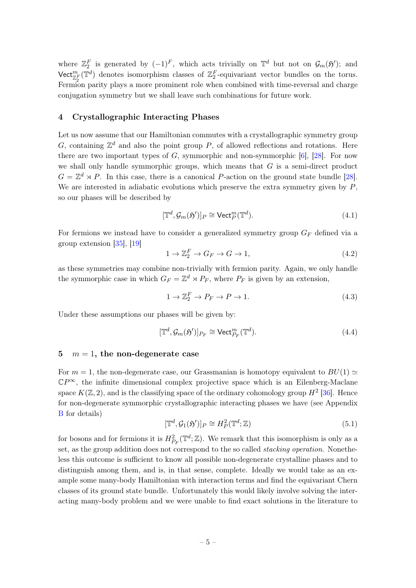where  $\mathbb{Z}_2^F$  is generated by  $(-1)^F$ , which acts trivially on  $\mathbb{T}^d$  but not on  $\mathcal{G}_m(\mathfrak{H}')$ ; and Vect<sup>m</sup><sub> $\mathbb{Z}_2^F$ </sub> ( $\mathbb{T}^d$ ) denotes isomorphism classes of  $\mathbb{Z}_2^F$ -equivariant vector bundles on the torus. Fermion parity plays a more prominent role when combined with time-reversal and charge conjugation symmetry but we shall leave such combinations for future work.

#### <span id="page-5-0"></span>4 Crystallographic Interacting Phases

Let us now assume that our Hamiltonian commutes with a crystallographic symmetry group G, containing  $\mathbb{Z}^d$  and also the point group P, of allowed reflections and rotations. Here there are two important types of  $G$ , symmorphic and non-symmorphic [\[6\]](#page-20-6), [\[28\]](#page-21-14). For now we shall only handle symmorphic groups, which means that  $G$  is a semi-direct product  $G = \mathbb{Z}^d \rtimes P$ . In this case, there is a canonical P-action on the ground state bundle [\[28\]](#page-21-14). We are interested in adiabatic evolutions which preserve the extra symmetry given by  $P$ , so our phases will be described by

$$
[\mathbb{T}^d, \mathcal{G}_m(\mathfrak{H}')]_P \cong \text{Vect}_P^m(\mathbb{T}^d). \tag{4.1}
$$

For fermions we instead have to consider a generalized symmetry group  $G_F$  defined via a group extension [\[35\]](#page-21-21), [\[19\]](#page-21-5)

$$
1 \to \mathbb{Z}_2^F \to G_F \to G \to 1,\tag{4.2}
$$

as these symmetries may combine non-trivially with fermion parity. Again, we only handle the symmorphic case in which  $G_F = \mathbb{Z}^d \rtimes P_F$ , where  $P_F$  is given by an extension,

$$
1 \to \mathbb{Z}_2^F \to P_F \to P \to 1. \tag{4.3}
$$

Under these assumptions our phases will be given by:

$$
[\mathbb{T}^d, \mathcal{G}_m(\mathfrak{H}')]_{P_F} \cong \text{Vect}_{P_F}^m(\mathbb{T}^d). \tag{4.4}
$$

#### <span id="page-5-1"></span>5  $m = 1$ , the non-degenerate case

For  $m = 1$ , the non-degenerate case, our Grassmanian is homotopy equivalent to  $BU(1) \simeq$  $\mathbb{C}P^{\infty}$ , the infinite dimensional complex projective space which is an Eilenberg-Maclane space  $K(\mathbb{Z}, 2)$ , and is the classifying space of the ordinary cohomology group  $H^2$  [\[36\]](#page-21-22). Hence for non-degenerate symmorphic crystallographic interacting phases we have (see Appendix [B](#page-16-0) for details)

$$
[\mathbb{T}^d, \mathcal{G}_1(\mathfrak{H}')]_P \cong H^2_P(\mathbb{T}^d; \mathbb{Z})
$$
\n(5.1)

for bosons and for fermions it is  $H^2_{P_F}(\mathbb{T}^d;\mathbb{Z})$ . We remark that this isomorphism is only as a set, as the group addition does not correspond to the so called stacking operation. Nonetheless this outcome is sufficient to know all possible non-degenerate crystalline phases and to distinguish among them, and is, in that sense, complete. Ideally we would take as an example some many-body Hamiltonian with interaction terms and find the equivariant Chern classes of its ground state bundle. Unfortunately this would likely involve solving the interacting many-body problem and we were unable to find exact solutions in the literature to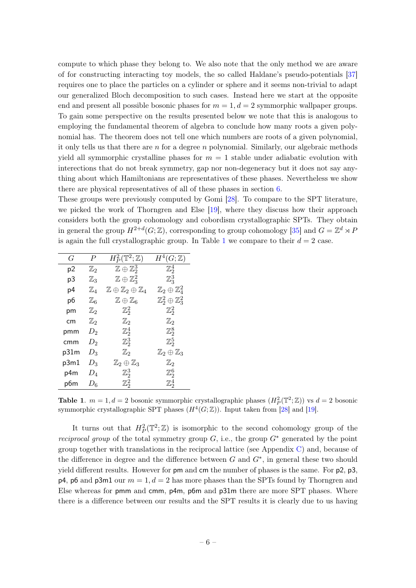compute to which phase they belong to. We also note that the only method we are aware of for constructing interacting toy models, the so called Haldane's pseudo-potentials [\[37\]](#page-21-23) requires one to place the particles on a cylinder or sphere and it seems non-trivial to adapt our generalized Bloch decomposition to such cases. Instead here we start at the opposite end and present all possible bosonic phases for  $m = 1, d = 2$  symmorphic wallpaper groups. To gain some perspective on the results presented below we note that this is analogous to employing the fundamental theorem of algebra to conclude how many roots a given polynomial has. The theorem does not tell one which numbers are roots of a given polynomial, it only tells us that there are  $n$  for a degree  $n$  polynomial. Similarly, our algebraic methods yield all symmorphic crystalline phases for  $m = 1$  stable under adiabatic evolution with interections that do not break symmetry, gap nor non-degeneracy but it does not say anything about which Hamiltonians are representatives of these phases. Nevertheless we show there are physical representatives of all of these phases in section [6.](#page-8-0)

These groups were previously computed by Gomi [\[28\]](#page-21-14). To compare to the SPT literature, we picked the work of Thorngren and Else [\[19\]](#page-21-5), where they discuss how their approach considers both the group cohomology and cobordism crystallographic SPTs. They obtain in general the group  $H^{2+d}(G;\mathbb{Z})$ , corresponding to group cohomology [\[35\]](#page-21-21) and  $G = \mathbb{Z}^d \rtimes P$ is again the full crystallographic group. In Table [1](#page-6-0) we compare to their  $d = 2$  case.

| G    | $\boldsymbol{P}$ | $H^2_P(\mathbb{T}^2;\mathbb{Z})$                     | $H^4(G;\mathbb{Z})$                  |
|------|------------------|------------------------------------------------------|--------------------------------------|
| р2   | $\mathbb{Z}_2$   | $\mathbb{Z}\oplus\mathbb{Z}_2^3$                     | $\mathbb{Z}_2^4$                     |
| p3   | $\mathbb{Z}_3$   | $\mathbb{Z}\oplus\mathbb{Z}_3^2$                     | $\mathbb{Z}_3^3$                     |
| p4   | $\mathbb{Z}_4$   | $\mathbb{Z} \oplus \mathbb{Z}_2 \oplus \mathbb{Z}_4$ | $\mathbb{Z}_2\oplus\mathbb{Z}_4^2$   |
| p6   | $\mathbb{Z}_6$   | $\mathbb{Z} \oplus \mathbb{Z}_6$                     | $\mathbb{Z}_2^2\oplus\mathbb{Z}_3^2$ |
| рm   | $\mathbb{Z}_2$   | $\mathbb{Z}_2^2$                                     | $\mathbb{Z}_2^2$                     |
| cm   | $\mathbb{Z}_2$   | $\mathbb{Z}_2$                                       | $\mathbb{Z}_2$                       |
| pmm  | $D_2$            | $\mathbb{Z}_2^4$                                     | $\mathbb{Z}_2^8$                     |
| cmm  | $D_2$            | $\mathbb{Z}_2^3$                                     | $\mathbb{Z}_2^5$                     |
| p31m | $D_3$            | $\mathbb{Z}_2$                                       | $\mathbb{Z}_2\oplus\mathbb{Z}_3$     |
| p3m1 | $D_3$            | $\mathbb{Z}_2\oplus\mathbb{Z}_3$                     | $\mathbb{Z}_2$                       |
| p4m  | $D_4$            | $\mathbb{Z}_2^3$                                     | $\mathbb{Z}_2^6$                     |
| p6m  | $D_6$            | $\mathbb{Z}_2^2$                                     | $\mathbb{Z}_2^4$                     |

<span id="page-6-0"></span>**Table 1.**  $m = 1, d = 2$  bosonic symmorphic crystallographic phases  $(H_P^2(\mathbb{T}^2; \mathbb{Z}))$  vs  $d = 2$  bosonic symmorphic crystallographic SPT phases  $(H^4(G; \mathbb{Z}))$ . Input taken from [\[28\]](#page-21-14) and [\[19\]](#page-21-5).

It turns out that  $H^2_P(\mathbb{T}^2;\mathbb{Z})$  is isomorphic to the second cohomology group of the *reciprocal group* of the total symmetry group  $G$ , i.e., the group  $G^*$  generated by the point group together with translations in the reciprocal lattice (see Appendix [C\)](#page-17-0) and, because of the difference in degree and the difference between  $G$  and  $G^*$ , in general these two should yield different results. However for pm and cm the number of phases is the same. For p2, p3,  $p4$ ,  $p6$  and  $p3m1$  our  $m = 1$ ,  $d = 2$  has more phases than the SPTs found by Thorngren and Else whereas for pmm and cmm, p4m, p6m and p31m there are more SPT phases. Where there is a difference between our results and the SPT results it is clearly due to us having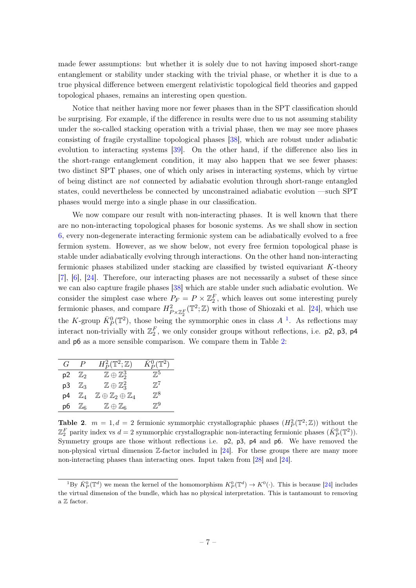made fewer assumptions: but whether it is solely due to not having imposed short-range entanglement or stability under stacking with the trivial phase, or whether it is due to a true physical difference between emergent relativistic topological field theories and gapped topological phases, remains an interesting open question.

Notice that neither having more nor fewer phases than in the SPT classification should be surprising. For example, if the difference in results were due to us not assuming stability under the so-called stacking operation with a trivial phase, then we may see more phases consisting of fragile crystalline topological phases [\[38\]](#page-21-24), which are robust under adiabatic evolution to interacting systems [\[39\]](#page-21-25). On the other hand, if the difference also lies in the short-range entanglement condition, it may also happen that we see fewer phases: two distinct SPT phases, one of which only arises in interacting systems, which by virtue of being distinct are not connected by adiabatic evolution through short-range entangled states, could nevertheless be connected by unconstrained adiabatic evolution —such SPT phases would merge into a single phase in our classification.

We now compare our result with non-interacting phases. It is well known that there are no non-interacting topological phases for bosonic systems. As we shall show in section [6,](#page-8-0) every non-degenerate interacting fermionic system can be adiabatically evolved to a free fermion system. However, as we show below, not every free fermion topological phase is stable under adiabatically evolving through interactions. On the other hand non-interacting fermionic phases stabilized under stacking are classified by twisted equivariant K-theory [\[7\]](#page-20-7), [\[6\]](#page-20-6), [\[24\]](#page-21-10). Therefore, our interacting phases are not necessarily a subset of these since we can also capture fragile phases [\[38\]](#page-21-24) which are stable under such adiabatic evolution. We consider the simplest case where  $P_F = P \times \mathbb{Z}_2^F$ , which leaves out some interesting purely fermionic phases, and compare  $H^2_{P\times\mathbb{Z}_2^F}(\mathbb{T}^2;\mathbb{Z})$  with those of Shiozaki et al. [\[24\]](#page-21-10), which use the K-group  $\bar{K}_{P}^{0}(\mathbb{T}^{2})$ , those being the symmorphic ones in class  $A^{-1}$  $A^{-1}$  $A^{-1}$ . As reflections may interact non-trivially with  $\mathbb{Z}_2^F$ , we only consider groups without reflections, i.e. p2, p3, p4 and p6 as a more sensible comparison. We compare them in Table [2:](#page-7-1)

| $\mathcal{L}$ | $\overline{P}$          | $H^2_P(\mathbb{T}^2;\mathbb{Z})$                     | $\bar{K}_{P}^{0}(\mathbb{T}^{2})$ |
|---------------|-------------------------|------------------------------------------------------|-----------------------------------|
|               | p2 $\mathbb{Z}_2$       | $\mathbb{Z}\oplus\mathbb{Z}_2^3$                     | $\mathbb{Z}^5$                    |
|               | $p3 \quad \mathbb{Z}_3$ | $\mathbb{Z}\oplus\mathbb{Z}_3^2$                     | $\mathbb{Z}^7$                    |
| p4            | 'Za                     | $\mathbb{Z} \oplus \mathbb{Z}_2 \oplus \mathbb{Z}_4$ | $\mathbb{Z}^8$                    |
|               | $p6 \quad \mathbb{Z}_6$ | $\mathbb{Z} \oplus \mathbb{Z}_6$                     | $\mathbb{Z}^{9}$                  |

<span id="page-7-1"></span>**Table 2.**  $m = 1, d = 2$  fermionic symmorphic crystallographic phases  $(H_P^2(\mathbb{T}^2; \mathbb{Z}))$  without the  $\mathbb{Z}_2^F$  parity index vs  $d=2$  symmorphic crystallographic non-interacting fermionic phases  $(\bar{K}_P^0(\mathbb{T}^2))$ . Symmetry groups are those without reflections i.e. p2, p3, p4 and p6. We have removed the non-physical virtual dimension  $\mathbb{Z}$ -factor included in [\[24\]](#page-21-10). For these groups there are many more non-interacting phases than interacting ones. Input taken from [\[28\]](#page-21-14) and [\[24\]](#page-21-10).

<span id="page-7-0"></span><sup>&</sup>lt;sup>1</sup>By  $\bar{K}_P^0(\mathbb{T}^d)$  we mean the kernel of the homomorphism  $K_P^0(\mathbb{T}^d) \to K^0(\cdot)$ . This is because [\[24\]](#page-21-10) includes the virtual dimension of the bundle, which has no physical interpretation. This is tantamount to removing a Z factor.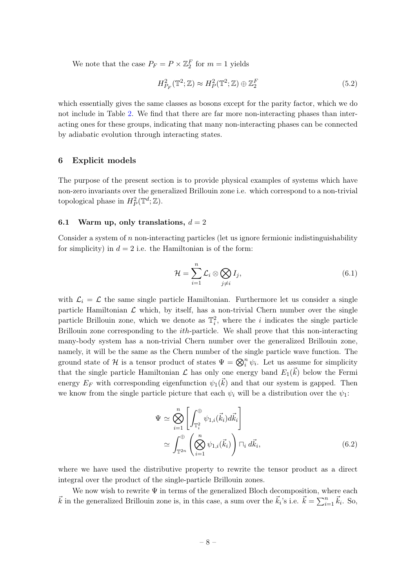We note that the case  $P_F = P \times \mathbb{Z}_2^F$  for  $m = 1$  yields

$$
H_{P_F}^2(\mathbb{T}^2; \mathbb{Z}) \approx H_P^2(\mathbb{T}^2; \mathbb{Z}) \oplus \mathbb{Z}_2^F
$$
\n(5.2)

which essentially gives the same classes as bosons except for the parity factor, which we do not include in Table [2.](#page-7-1) We find that there are far more non-interacting phases than interacting ones for these groups, indicating that many non-interacting phases can be connected by adiabatic evolution through interacting states.

## <span id="page-8-0"></span>6 Explicit models

The purpose of the present section is to provide physical examples of systems which have non-zero invariants over the generalized Brillouin zone i.e. which correspond to a non-trivial topological phase in  $H_P^2(\mathbb{T}^d; \mathbb{Z})$ .

#### <span id="page-8-1"></span>6.1 Warm up, only translations,  $d = 2$

Consider a system of n non-interacting particles (let us ignore fermionic indistinguishability for simplicity) in  $d = 2$  i.e. the Hamiltonian is of the form:

<span id="page-8-2"></span>
$$
\mathcal{H} = \sum_{i=1}^{n} \mathcal{L}_i \otimes \bigotimes_{j \neq i} I_j,\tag{6.1}
$$

with  $\mathcal{L}_i = \mathcal{L}$  the same single particle Hamiltonian. Furthermore let us consider a single particle Hamiltonian  $\mathcal L$  which, by itself, has a non-trivial Chern number over the single particle Brillouin zone, which we denote as  $\mathbb{T}_i^2$ , where the *i* indicates the single particle Brillouin zone corresponding to the ith-particle. We shall prove that this non-interacting many-body system has a non-trivial Chern number over the generalized Brillouin zone, namely, it will be the same as the Chern number of the single particle wave function. The ground state of H is a tensor product of states  $\Psi = \bigotimes_i^n \psi_i$ . Let us assume for simplicity that the single particle Hamiltonian  $\mathcal L$  has only one energy band  $E_1(\vec{k})$  below the Fermi energy  $E_F$  with corresponding eigenfunction  $\psi_1(\vec{k})$  and that our system is gapped. Then we know from the single particle picture that each  $\psi_i$  will be a distribution over the  $\psi_1$ :

$$
\Psi \simeq \bigotimes_{i=1}^{n} \left[ \int_{\mathbb{T}_i^2}^{\oplus} \psi_{1,i}(\vec{k}_i) d\vec{k}_i \right]
$$

$$
\simeq \int_{\mathbb{T}^{2n}}^{\oplus} \left( \bigotimes_{i=1}^{n} \psi_{1,i}(\vec{k}_i) \right) \Box_i d\vec{k}_i, \tag{6.2}
$$

where we have used the distributive property to rewrite the tensor product as a direct integral over the product of the single-particle Brillouin zones.

We now wish to rewrite  $\Psi$  in terms of the generalized Bloch decomposition, where each  $\vec{k}$  in the generalized Brillouin zone is, in this case, a sum over the  $\vec{k}_i$ 's i.e.  $\vec{k} = \sum_{i=1}^n \vec{k}_i$ . So,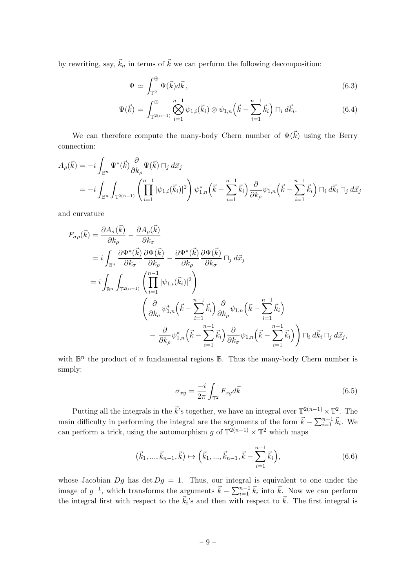by rewriting, say,  $\vec{k}_n$  in terms of  $\vec{k}$  we can perform the following decomposition:

$$
\Psi \simeq \int_{\mathbb{T}^2}^{\oplus} \Psi(\vec{k}) d\vec{k}, \qquad (6.3)
$$

$$
\Psi(\vec{k}) = \int_{\mathbb{T}^{2(n-1)}}^{\oplus} \bigotimes_{i=1}^{n-1} \psi_{1,i}(\vec{k}_i) \otimes \psi_{1,n}\left(\vec{k} - \sum_{i=1}^{n-1} \vec{k}_i\right) \sqcap_i d\vec{k}_i.
$$
 (6.4)

We can therefore compute the many-body Chern number of  $\Psi(\vec{k})$  using the Berry connection:

$$
A_{\rho}(\vec{k}) = -i \int_{\mathbb{B}^n} \Psi^*(\vec{k}) \frac{\partial}{\partial k_{\rho}} \Psi(\vec{k}) \sqcap_j d\vec{x}_j
$$
  
=  $-i \int_{\mathbb{B}^n} \int_{\mathbb{T}^{2(n-1)}} \left( \prod_{i=1}^{n-1} |\psi_{1,i}(\vec{k}_i)|^2 \right) \psi_{1,n}^*(\vec{k} - \sum_{i=1}^{n-1} \vec{k}_i) \frac{\partial}{\partial k_{\rho}} \psi_{1,n}(\vec{k} - \sum_{i=1}^{n-1} \vec{k}_i) \sqcap_i d\vec{k}_i \sqcap_j d\vec{x}_j$ 

and curvature

$$
F_{\sigma\rho}(\vec{k}) = \frac{\partial A_{\sigma}(\vec{k})}{\partial k_{\rho}} - \frac{\partial A_{\rho}(\vec{k})}{\partial k_{\sigma}} = i \int_{\mathbb{B}^{n}} \frac{\partial \Psi^{*}(\vec{k})}{\partial k_{\sigma}} \frac{\partial \Psi(\vec{k})}{\partial k_{\rho}} - \frac{\partial \Psi^{*}(\vec{k})}{\partial k_{\rho}} \frac{\partial \Psi(\vec{k})}{\partial k_{\sigma}} \Box_{j} d\vec{x}_{j} = i \int_{\mathbb{B}^{n}} \int_{\mathbb{T}^{2(n-1)}} \left( \prod_{i=1}^{n-1} |\psi_{1,i}(\vec{k}_{i})|^{2} \right) \left( \frac{\partial}{\partial k_{\sigma}} \psi_{1,n}^{*} \left( \vec{k} - \sum_{i=1}^{n-1} \vec{k}_{i} \right) \frac{\partial}{\partial k_{\rho}} \psi_{1,n} \left( \vec{k} - \sum_{i=1}^{n-1} \vec{k}_{i} \right) \right) - \frac{\partial}{\partial k_{\rho}} \psi_{1,n}^{*} \left( \vec{k} - \sum_{i=1}^{n-1} \vec{k}_{i} \right) \frac{\partial}{\partial k_{\sigma}} \psi_{1,n} \left( \vec{k} - \sum_{i=1}^{n-1} \vec{k}_{i} \right) \right) \Box_{i} d\vec{k}_{i} \Box_{j} d\vec{x}_{j},
$$

with  $\mathbb{B}^n$  the product of n fundamental regions  $\mathbb{B}$ . Thus the many-body Chern number is simply:

$$
\sigma_{xy} = \frac{-i}{2\pi} \int_{\mathbb{T}^2} F_{xy} d\vec{k} \tag{6.5}
$$

Putting all the integrals in the  $\vec{k}$ 's together, we have an integral over  $\mathbb{T}^{2(n-1)} \times \mathbb{T}^2$ . The main difficulty in performing the integral are the arguments of the form  $\vec{k} - \sum_{i=1}^{n-1} \vec{k}_i$ . We can perform a trick, using the automorphism g of  $\mathbb{T}^{2(n-1)} \times \mathbb{T}^2$  which maps

$$
(\vec{k}_1, ..., \vec{k}_{n-1}, \vec{k}) \mapsto (\vec{k}_1, ..., \vec{k}_{n-1}, \vec{k} - \sum_{i=1}^{n-1} \vec{k}_i),
$$
\n(6.6)

whose Jacobian  $Dg$  has det  $Dg = 1$ . Thus, our integral is equivalent to one under the image of  $g^{-1}$ , which transforms the arguments  $\vec{k} - \sum_{i=1}^{n-1} \vec{k}_i$  into  $\vec{k}$ . Now we can perform the integral first with respect to the  $\vec{k}_i$ 's and then with respect to  $\vec{k}$ . The first integral is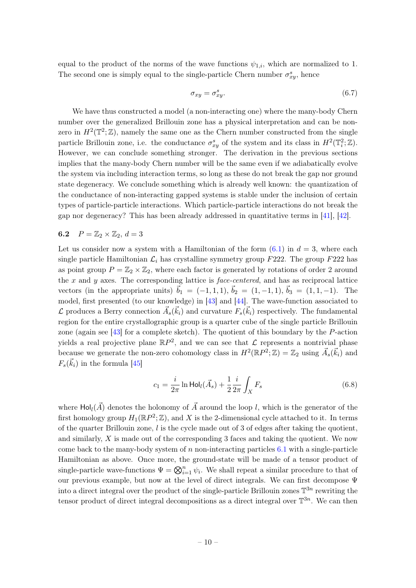equal to the product of the norms of the wave functions  $\psi_{1,i}$ , which are normalized to 1. The second one is simply equal to the single-particle Chern number  $\sigma_{xy}^s$ , hence

$$
\sigma_{xy} = \sigma_{xy}^s. \tag{6.7}
$$

We have thus constructed a model (a non-interacting one) where the many-body Chern number over the generalized Brillouin zone has a physical interpretation and can be nonzero in  $H^2(\mathbb{T}^2;\mathbb{Z})$ , namely the same one as the Chern number constructed from the single particle Brillouin zone, i.e. the conductance  $\sigma_{xy}^s$  of the system and its class in  $H^2(\mathbb{T}_i^2;\mathbb{Z})$ . However, we can conclude something stronger. The derivation in the previous sections implies that the many-body Chern number will be the same even if we adiabatically evolve the system via including interaction terms, so long as these do not break the gap nor ground state degeneracy. We conclude something which is already well known: the quantization of the conductance of non-interacting gapped systems is stable under the inclusion of certain types of particle-particle interactions. Which particle-particle interactions do not break the gap nor degeneracy? This has been already addressed in quantitative terms in [\[41\]](#page-21-26), [\[42\]](#page-22-0).

# <span id="page-10-0"></span>6.2  $P = \mathbb{Z}_2 \times \mathbb{Z}_2$ ,  $d = 3$

Let us consider now a system with a Hamiltonian of the form  $(6.1)$  in  $d = 3$ , where each single particle Hamiltonian  $\mathcal{L}_i$  has crystalline symmetry group F222. The group F222 has as point group  $P = \mathbb{Z}_2 \times \mathbb{Z}_2$ , where each factor is generated by rotations of order 2 around the  $x$  and  $y$  axes. The corresponding lattice is  $face-centered$ , and has as reciprocal lattice vectors (in the appropriate units)  $\vec{b}_1 = (-1, 1, 1), \vec{b}_2 = (1, -1, 1), \vec{b}_3 = (1, 1, -1)$ . The model, first presented (to our knowledge) in [\[43\]](#page-22-1) and [\[44\]](#page-22-2). The wave-function associated to L produces a Berry connection  $\vec{A}_{s}(\vec{k}_i)$  and curvature  $F_s(\vec{k}_i)$  respectively. The fundamental region for the entire crystallographic group is a quarter cube of the single particle Brillouin zone (again see  $[43]$  for a complete sketch). The quotient of this boundary by the P-action yields a real projective plane  $\mathbb{R}P^2$ , and we can see that  $\mathcal L$  represents a nontrivial phase because we generate the non-zero cohomology class in  $H^2(\mathbb{R}P^2;\mathbb{Z})=\mathbb{Z}_2$  using  $\vec{A}_s(\vec{k}_i)$  and  $F_s(\vec{k}_i)$  in the formula [\[45\]](#page-22-3)

<span id="page-10-1"></span>
$$
c_1 = \frac{i}{2\pi} \ln \text{Hol}_l(\vec{A}_s) + \frac{1}{2} \frac{i}{2\pi} \int_X F_s \tag{6.8}
$$

where  $\text{Hol}_{l}(\vec{A})$  denotes the holonomy of  $\vec{A}$  around the loop l, which is the generator of the first homology group  $H_1(\mathbb{R}P^2;\mathbb{Z})$ , and X is the 2-dimensional cycle attached to it. In terms of the quarter Brillouin zone,  $l$  is the cycle made out of 3 of edges after taking the quotient, and similarly, X is made out of the corresponding 3 faces and taking the quotient. We now come back to the many-body system of  $n$  non-interacting particles [6.1](#page-8-2) with a single-particle Hamiltonian as above. Once more, the ground-state will be made of a tensor product of single-particle wave-functions  $\Psi = \bigotimes_{i=1}^{n} \psi_i$ . We shall repeat a similar procedure to that of our previous example, but now at the level of direct integrals. We can first decompose Ψ into a direct integral over the product of the single-particle Brillouin zones  $\mathbb{T}^{3n}$  rewriting the tensor product of direct integral decompositions as a direct integral over  $\mathbb{T}^{3n}$ . We can then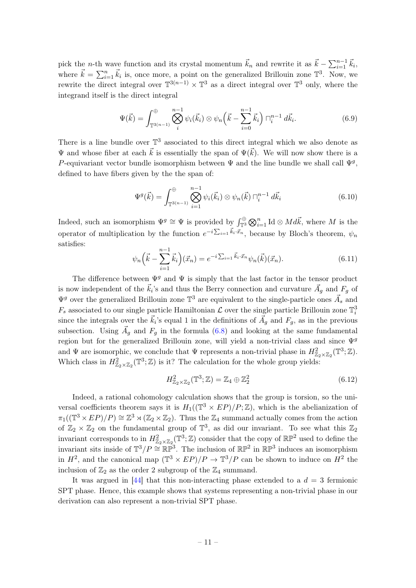pick the *n*-th wave function and its crystal momentum  $\vec{k}_n$  and rewrite it as  $\vec{k} - \sum_{i=1}^{n-1} \vec{k}_i$ , where  $\vec{k} = \sum_{i=1}^{n} \vec{k}_i$  is, once more, a point on the generalized Brillouin zone  $\mathbb{T}^3$ . Now, we rewrite the direct integral over  $\mathbb{T}^{3(n-1)} \times \mathbb{T}^3$  as a direct integral over  $\mathbb{T}^3$  only, where the integrand itself is the direct integral

$$
\Psi(\vec{k}) = \int_{\mathbb{T}^{3(n-1)}}^{\oplus} \bigotimes_{i}^{n-1} \psi_i(\vec{k}_i) \otimes \psi_n\left(\vec{k} - \sum_{i=0}^{n-1} \vec{k}_i\right) \square_i^{n-1} d\vec{k}_i.
$$
 (6.9)

There is a line bundle over  $\mathbb{T}^3$  associated to this direct integral which we also denote as  $\Psi$  and whose fiber at each  $\vec{k}$  is essentially the span of  $\Psi(\vec{k})$ . We will now show there is a P-equivariant vector bundle isomorphism between  $\Psi$  and the line bundle we shall call  $\Psi^g$ , defined to have fibers given by the the span of:

$$
\Psi^{g}(\vec{k}) = \int_{\mathbb{T}^{3(n-1)}}^{\oplus} \bigotimes_{i=1}^{n-1} \psi_{i}(\vec{k}_{i}) \otimes \psi_{n}(\vec{k}) \sqcap_{i}^{n-1} d\vec{k}_{i}
$$
(6.10)

Indeed, such an isomorphism  $\Psi^g \cong \Psi$  is provided by  $\int_{\mathbb{T}^3}^{\oplus} \bigotimes_{i=1}^n \mathrm{Id} \otimes Md\vec{k}$ , where M is the operator of multiplication by the function  $e^{-i\sum_{i=1} \vec{k}_i \cdot \vec{x}_n}$ , because by Bloch's theorem,  $\psi_n$ satisfies:

$$
\psi_n\left(\vec{k} - \sum_{i=1}^{n-1} \vec{k}_i\right)(\vec{x}_n) = e^{-i\sum_{i=1}^{\tilde{k}_i \cdot \vec{x}_n}} \psi_n(\vec{k})(\vec{x}_n). \tag{6.11}
$$

The difference between  $\Psi^g$  and  $\Psi$  is simply that the last factor in the tensor product is now independent of the  $\vec{k}_i$ 's and thus the Berry connection and curvature  $\vec{A}_g$  and  $F_g$  of  $\Psi^g$  over the generalized Brillouin zone  $\mathbb{T}^3$  are equivalent to the single-particle ones  $\vec{A}_s$  and  $F_s$  associated to our single particle Hamiltonian  $\mathcal L$  over the single particle Brillouin zone  $\mathbb T_i^3$ since the integrals over the  $\vec{k}_i$ 's equal 1 in the definitions of  $\vec{A}_g$  and  $F_g$ , as in the previous subsection. Using  $\vec{A}_g$  and  $F_g$  in the formula [\(6.8\)](#page-10-1) and looking at the same fundamental region but for the generalized Brillouin zone, will yield a non-trivial class and since  $\Psi^g$ and  $\Psi$  are isomorphic, we conclude that  $\Psi$  represents a non-trivial phase in  $H^2_{\mathbb{Z}_2 \times \mathbb{Z}_2}(\mathbb{T}^3; \mathbb{Z})$ . Which class in  $H^2_{\mathbb{Z}_2 \times \mathbb{Z}_2}(\mathbb{T}^3; \mathbb{Z})$  is it? The calculation for the whole group yields:

$$
H^2_{\mathbb{Z}_2 \times \mathbb{Z}_2}(\mathbb{T}^3; \mathbb{Z}) = \mathbb{Z}_4 \oplus \mathbb{Z}_2^2 \tag{6.12}
$$

Indeed, a rational cohomology calculation shows that the group is torsion, so the universal coefficients theorem says it is  $H_1((\mathbb{T}^3 \times EP)/P;\mathbb{Z})$ , which is the abelianization of  $\pi_1((\mathbb{T}^3 \times EP)/P) \cong \mathbb{Z}^3 \rtimes (\mathbb{Z}_2 \times \mathbb{Z}_2)$ . Thus the  $\mathbb{Z}_4$  summand actually comes from the action of  $\mathbb{Z}_2 \times \mathbb{Z}_2$  on the fundamental group of  $\mathbb{T}^3$ , as did our invariant. To see what this  $\mathbb{Z}_2$ invariant corresponds to in  $H^2_{\mathbb{Z}_2 \times \mathbb{Z}_2}(\mathbb{T}^3;\mathbb{Z})$  consider that the copy of  $\mathbb{RP}^2$  used to define the invariant sits inside of  $\mathbb{T}^3/P \cong \mathbb{RP}^3$ . The inclusion of  $\mathbb{RP}^2$  in  $\mathbb{RP}^3$  induces an isomorphism in  $H^2$ , and the canonical map  $(\mathbb{T}^3 \times EP)/P \to \mathbb{T}^3/P$  can be shown to induce on  $H^2$  the inclusion of  $\mathbb{Z}_2$  as the order 2 subgroup of the  $\mathbb{Z}_4$  summand.

It was argued in [\[44\]](#page-22-2) that this non-interacting phase extended to a  $d = 3$  fermionic SPT phase. Hence, this example shows that systems representing a non-trivial phase in our derivation can also represent a non-trivial SPT phase.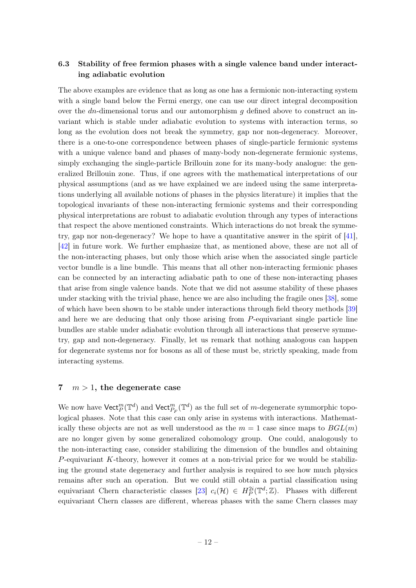# <span id="page-12-0"></span>6.3 Stability of free fermion phases with a single valence band under interacting adiabatic evolution

The above examples are evidence that as long as one has a fermionic non-interacting system with a single band below the Fermi energy, one can use our direct integral decomposition over the dn-dimensional torus and our automorphism  $q$  defined above to construct an invariant which is stable under adiabatic evolution to systems with interaction terms, so long as the evolution does not break the symmetry, gap nor non-degeneracy. Moreover, there is a one-to-one correspondence between phases of single-particle fermionic systems with a unique valence band and phases of many-body non-degenerate fermionic systems, simply exchanging the single-particle Brillouin zone for its many-body analogue: the generalized Brillouin zone. Thus, if one agrees with the mathematical interpretations of our physical assumptions (and as we have explained we are indeed using the same interpretations underlying all available notions of phases in the physics literature) it implies that the topological invariants of these non-interacting fermionic systems and their corresponding physical interpretations are robust to adiabatic evolution through any types of interactions that respect the above mentioned constraints. Which interactions do not break the symmetry, gap nor non-degeneracy? We hope to have a quantitative answer in the spirit of [\[41\]](#page-21-26), [\[42\]](#page-22-0) in future work. We further emphasize that, as mentioned above, these are not all of the non-interacting phases, but only those which arise when the associated single particle vector bundle is a line bundle. This means that all other non-interacting fermionic phases can be connected by an interacting adiabatic path to one of these non-interacting phases that arise from single valence bands. Note that we did not assume stability of these phases under stacking with the trivial phase, hence we are also including the fragile ones [\[38\]](#page-21-24), some of which have been shown to be stable under interactions through field theory methods [\[39\]](#page-21-25) and here we are deducing that only those arising from P-equivariant single particle line bundles are stable under adiabatic evolution through all interactions that preserve symmetry, gap and non-degeneracy. Finally, let us remark that nothing analogous can happen for degenerate systems nor for bosons as all of these must be, strictly speaking, made from interacting systems.

## <span id="page-12-1"></span>7  $m > 1$ , the degenerate case

We now have  $\mathsf{Vect}_P^m(\mathbb{T}^d)$  and  $\mathsf{Vect}_{P_F}^m(\mathbb{T}^d)$  as the full set of m-degenerate symmorphic topological phases. Note that this case can only arise in systems with interactions. Mathematically these objects are not as well understood as the  $m = 1$  case since maps to  $BGL(m)$ are no longer given by some generalized cohomology group. One could, analogously to the non-interacting case, consider stabilizing the dimension of the bundles and obtaining P-equivariant K-theory, however it comes at a non-trivial price for we would be stabilizing the ground state degeneracy and further analysis is required to see how much physics remains after such an operation. But we could still obtain a partial classification using equivariant Chern characteristic classes [\[23\]](#page-21-9)  $c_i(\mathcal{H}) \in H^{2i}_P(\mathbb{T}^d;\mathbb{Z})$ . Phases with different equivariant Chern classes are different, whereas phases with the same Chern classes may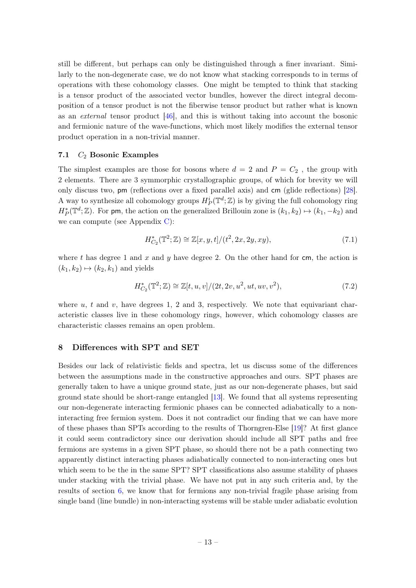still be different, but perhaps can only be distinguished through a finer invariant. Similarly to the non-degenerate case, we do not know what stacking corresponds to in terms of operations with these cohomology classes. One might be tempted to think that stacking is a tensor product of the associated vector bundles, however the direct integral decomposition of a tensor product is not the fiberwise tensor product but rather what is known as an external tensor product [\[46\]](#page-22-4), and this is without taking into account the bosonic and fermionic nature of the wave-functions, which most likely modifies the external tensor product operation in a non-trivial manner.

#### <span id="page-13-0"></span>7.1  $C_2$  Bosonic Examples

The simplest examples are those for bosons where  $d = 2$  and  $P = C_2$ , the group with 2 elements. There are 3 symmorphic crystallographic groups, of which for brevity we will only discuss two, pm (reflections over a fixed parallel axis) and cm (glide reflections) [\[28\]](#page-21-14). A way to synthesize all cohomology groups  $H^i_P(\mathbb{T}^d;\mathbb{Z})$  is by giving the full cohomology ring  $H_P^*(\mathbb{T}^d;\mathbb{Z})$ . For pm, the action on the generalized Brillouin zone is  $(k_1, k_2) \mapsto (k_1, -k_2)$  and we can compute (see Appendix [C\)](#page-17-0):

$$
H_{C_2}^*(\mathbb{T}^2; \mathbb{Z}) \cong \mathbb{Z}[x, y, t]/(t^2, 2x, 2y, xy), \tag{7.1}
$$

where t has degree 1 and x and y have degree 2. On the other hand for cm, the action is  $(k_1, k_2) \mapsto (k_2, k_1)$  and yields

$$
H_{C_2}^*(\mathbb{T}^2; \mathbb{Z}) \cong \mathbb{Z}[t, u, v]/(2t, 2v, u^2, ut, uv, v^2), \tag{7.2}
$$

where  $u, t$  and  $v$ , have degrees 1, 2 and 3, respectively. We note that equivariant characteristic classes live in these cohomology rings, however, which cohomology classes are characteristic classes remains an open problem.

# <span id="page-13-1"></span>8 Differences with SPT and SET

Besides our lack of relativistic fields and spectra, let us discuss some of the differences between the assumptions made in the constructive approaches and ours. SPT phases are generally taken to have a unique ground state, just as our non-degenerate phases, but said ground state should be short-range entangled [\[13\]](#page-20-13). We found that all systems representing our non-degenerate interacting fermionic phases can be connected adiabatically to a noninteracting free fermion system. Does it not contradict our finding that we can have more of these phases than SPTs according to the results of Thorngren-Else [\[19\]](#page-21-5)? At first glance it could seem contradictory since our derivation should include all SPT paths and free fermions are systems in a given SPT phase, so should there not be a path connecting two apparently distinct interacting phases adiabatically connected to non-interacting ones but which seem to be the in the same SPT? SPT classifications also assume stability of phases under stacking with the trivial phase. We have not put in any such criteria and, by the results of section [6,](#page-8-0) we know that for fermions any non-trivial fragile phase arising from single band (line bundle) in non-interacting systems will be stable under adiabatic evolution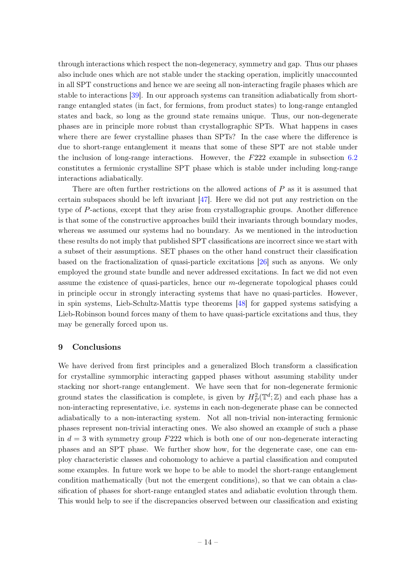through interactions which respect the non-degeneracy, symmetry and gap. Thus our phases also include ones which are not stable under the stacking operation, implicitly unaccounted in all SPT constructions and hence we are seeing all non-interacting fragile phases which are stable to interactions [\[39\]](#page-21-25). In our approach systems can transition adiabatically from shortrange entangled states (in fact, for fermions, from product states) to long-range entangled states and back, so long as the ground state remains unique. Thus, our non-degenerate phases are in principle more robust than crystallographic SPTs. What happens in cases where there are fewer crystalline phases than SPTs? In the case where the difference is due to short-range entanglement it means that some of these SPT are not stable under the inclusion of long-range interactions. However, the  $F222$  example in subsection [6.2](#page-10-0) constitutes a fermionic crystalline SPT phase which is stable under including long-range interactions adiabatically.

There are often further restrictions on the allowed actions of  $P$  as it is assumed that certain subspaces should be left invariant  $[47]$ . Here we did not put any restriction on the type of P-actions, except that they arise from crystallographic groups. Another difference is that some of the constructive approaches build their invariants through boundary modes, whereas we assumed our systems had no boundary. As we mentioned in the introduction these results do not imply that published SPT classifications are incorrect since we start with a subset of their assumptions. SET phases on the other hand construct their classification based on the fractionalization of quasi-particle excitations [\[26\]](#page-21-12) such as anyons. We only employed the ground state bundle and never addressed excitations. In fact we did not even assume the existence of quasi-particles, hence our m-degenerate topological phases could in principle occur in strongly interacting systems that have no quasi-particles. However, in spin systems, Lieb-Schultz-Mattis type theorems [\[48\]](#page-22-6) for gapped systems satisfying a Lieb-Robinson bound forces many of them to have quasi-particle excitations and thus, they may be generally forced upon us.

# <span id="page-14-0"></span>9 Conclusions

We have derived from first principles and a generalized Bloch transform a classification for crystalline symmorphic interacting gapped phases without assuming stability under stacking nor short-range entanglement. We have seen that for non-degenerate fermionic ground states the classification is complete, is given by  $H_P^2(\mathbb{T}^d; \mathbb{Z})$  and each phase has a non-interacting representative, i.e. systems in each non-degenerate phase can be connected adiabatically to a non-interacting system. Not all non-trivial non-interacting fermionic phases represent non-trivial interacting ones. We also showed an example of such a phase in  $d = 3$  with symmetry group  $F222$  which is both one of our non-degenerate interacting phases and an SPT phase. We further show how, for the degenerate case, one can employ characteristic classes and cohomology to achieve a partial classification and computed some examples. In future work we hope to be able to model the short-range entanglement condition mathematically (but not the emergent conditions), so that we can obtain a classification of phases for short-range entangled states and adiabatic evolution through them. This would help to see if the discrepancies observed between our classification and existing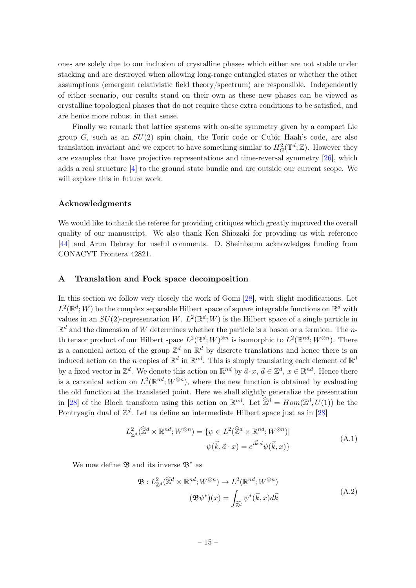ones are solely due to our inclusion of crystalline phases which either are not stable under stacking and are destroyed when allowing long-range entangled states or whether the other assumptions (emergent relativistic field theory/spectrum) are responsible. Independently of either scenario, our results stand on their own as these new phases can be viewed as crystalline topological phases that do not require these extra conditions to be satisfied, and are hence more robust in that sense.

Finally we remark that lattice systems with on-site symmetry given by a compact Lie group  $G$ , such as an  $SU(2)$  spin chain, the Toric code or Cubic Haah's code, are also translation invariant and we expect to have something similar to  $H^2_G(\mathbb{T}^d;\mathbb{Z})$ . However they are examples that have projective representations and time-reversal symmetry [\[26\]](#page-21-12), which adds a real structure [\[4\]](#page-20-4) to the ground state bundle and are outside our current scope. We will explore this in future work.

## Acknowledgments

We would like to thank the referee for providing critiques which greatly improved the overall quality of our manuscript. We also thank Ken Shiozaki for providing us with reference [\[44\]](#page-22-2) and Arun Debray for useful comments. D. Sheinbaum acknowledges funding from CONACYT Frontera 42821.

## <span id="page-15-0"></span>A Translation and Fock space decomposition

In this section we follow very closely the work of Gomi [\[28\]](#page-21-14), with slight modifications. Let  $L^2(\mathbb{R}^d; W)$  be the complex separable Hilbert space of square integrable functions on  $\mathbb{R}^d$  with values in an  $SU(2)$ -representation W.  $L^2(\mathbb{R}^d;W)$  is the Hilbert space of a single particle in  $\mathbb{R}^d$  and the dimension of W determines whether the particle is a boson or a fermion. The nth tensor product of our Hilbert space  $L^2(\mathbb{R}^d; W)^{\otimes n}$  is isomorphic to  $L^2(\mathbb{R}^{nd}; W^{\otimes n})$ . There is a canonical action of the group  $\mathbb{Z}^d$  on  $\mathbb{R}^d$  by discrete translations and hence there is an induced action on the n copies of  $\mathbb{R}^d$  in  $\mathbb{R}^{nd}$ . This is simply translating each element of  $\mathbb{R}^d$ by a fixed vector in  $\mathbb{Z}^d$ . We denote this action on  $\mathbb{R}^{nd}$  by  $\vec{a} \cdot x$ ,  $\vec{a} \in \mathbb{Z}^d$ ,  $x \in \mathbb{R}^{nd}$ . Hence there is a canonical action on  $L^2(\mathbb{R}^{nd}; W^{\otimes n})$ , where the new function is obtained by evaluating the old function at the translated point. Here we shall slightly generalize the presentation in [\[28\]](#page-21-14) of the Bloch transform using this action on  $\mathbb{R}^{nd}$ . Let  $\hat{\mathbb{Z}}^d = Hom(\mathbb{Z}^d, U(1))$  be the Pontryagin dual of  $\mathbb{Z}^d$ . Let us define an intermediate Hilbert space just as in [\[28\]](#page-21-14)

$$
L_{\mathbb{Z}^d}^2(\widehat{\mathbb{Z}}^d \times \mathbb{R}^{nd}; W^{\otimes n}) = \{ \psi \in L^2(\widehat{\mathbb{Z}}^d \times \mathbb{R}^{nd}; W^{\otimes n}) | \n\psi(\vec{k}, \vec{a} \cdot x) = e^{i\vec{k}\cdot\vec{a}}\psi(\vec{k}, x) \}
$$
\n(A.1)

We now define  $\mathfrak{B}$  and its inverse  $\mathfrak{B}^*$  as

$$
\mathfrak{B}: L^2_{\mathbb{Z}^d}(\widehat{\mathbb{Z}}^d \times \mathbb{R}^{nd}; W^{\otimes n}) \to L^2(\mathbb{R}^{nd}; W^{\otimes n})
$$

$$
(\mathfrak{B}\psi^*)(x) = \int_{\widehat{\mathbb{Z}}^d} \psi^*(\vec{k}, x) d\vec{k}
$$
(A.2)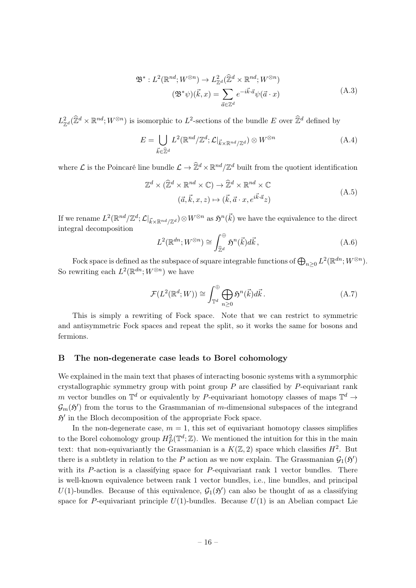$$
\mathfrak{B}^*: L^2(\mathbb{R}^{nd}; W^{\otimes n}) \to L^2_{\mathbb{Z}^d}(\widehat{\mathbb{Z}}^d \times \mathbb{R}^{nd}; W^{\otimes n})
$$

$$
(\mathfrak{B}^*\psi)(\vec{k}, x) = \sum_{\vec{a} \in \mathbb{Z}^d} e^{-i\vec{k}\cdot\vec{a}}\psi(\vec{a}\cdot x)
$$
(A.3)

 $L^2_{\mathbb{Z}^d}(\hat{\mathbb{Z}}^d \times \mathbb{R}^{nd}; W^{\otimes n})$  is isomorphic to  $L^2$ -sections of the bundle E over  $\hat{\mathbb{Z}}^d$  defined by

$$
E = \bigcup_{\vec{k} \in \widehat{\mathbb{Z}}^d} L^2(\mathbb{R}^{nd}/\mathbb{Z}^d; \mathcal{L}|_{\vec{k} \times \mathbb{R}^{nd}/\mathbb{Z}^d}) \otimes W^{\otimes n}
$$
 (A.4)

where  $\mathcal L$  is the Poincaré line bundle  $\mathcal L \to \hat{\mathbb Z}^d \times \mathbb R^{nd}/\mathbb Z^d$  built from the quotient identification

$$
\mathbb{Z}^d \times (\widehat{\mathbb{Z}}^d \times \mathbb{R}^{nd} \times \mathbb{C}) \to \widehat{\mathbb{Z}}^d \times \mathbb{R}^{nd} \times \mathbb{C}
$$
  

$$
(\vec{a}, \vec{k}, x, z) \mapsto (\vec{k}, \vec{a} \cdot x, e^{i\vec{k} \cdot \vec{a}} z)
$$
 (A.5)

If we rename  $L^2(\mathbb{R}^{nd}/\mathbb{Z}^d; \mathcal{L}|_{\vec{k}\times\mathbb{R}^{nd}/\mathbb{Z}^d})\otimes W^{\otimes n}$  as  $\mathfrak{H}^n(\vec{k})$  we have the equivalence to the direct integral decomposition

$$
L^2(\mathbb{R}^{dn}; W^{\otimes n}) \cong \int_{\widehat{\mathbb{Z}}^d}^{\oplus} \mathfrak{H}^n(\vec{k}) d\vec{k}, \qquad (A.6)
$$

Fock space is defined as the subspace of square integrable functions of  $\bigoplus_{n\geq 0} L^2(\mathbb{R}^{dn}; W^{\otimes n})$ . So rewriting each  $L^2(\mathbb{R}^{dn}; W^{\otimes n})$  we have

$$
\mathcal{F}(L^2(\mathbb{R}^d; W)) \cong \int_{\mathbb{T}^d}^{\oplus} \bigoplus_{n \ge 0} \mathfrak{H}^n(\vec{k}) d\vec{k} \,. \tag{A.7}
$$

This is simply a rewriting of Fock space. Note that we can restrict to symmetric and antisymmetric Fock spaces and repeat the split, so it works the same for bosons and fermions.

## <span id="page-16-0"></span>B The non-degenerate case leads to Borel cohomology

We explained in the main text that phases of interacting bosonic systems with a symmorphic crystallographic symmetry group with point group  $P$  are classified by  $P$ -equivariant rank m vector bundles on  $\mathbb{T}^d$  or equivalently by P-equivariant homotopy classes of maps  $\mathbb{T}^d \to$  $\mathcal{G}_m(\mathfrak{H}')$  from the torus to the Grasmmanian of m-dimensional subspaces of the integrand  $5'$  in the Bloch decomposition of the appropriate Fock space.

In the non-degenerate case,  $m = 1$ , this set of equivariant homotopy classes simplifies to the Borel cohomology group  $H_P^2(\mathbb{T}^d; \mathbb{Z})$ . We mentioned the intuition for this in the main text: that non-equivariantly the Grassmanian is a  $K(\mathbb{Z}, 2)$  space which classifies  $H^2$ . But there is a subtlety in relation to the P action as we now explain. The Grassmanian  $\mathcal{G}_1(\mathfrak{H}')$ with its  $P$ -action is a classifying space for  $P$ -equivariant rank 1 vector bundles. There is well-known equivalence between rank 1 vector bundles, i.e., line bundles, and principal U(1)-bundles. Because of this equivalence,  $G_1(\mathfrak{H}')$  can also be thought of as a classifying space for P-equivariant principle  $U(1)$ -bundles. Because  $U(1)$  is an Abelian compact Lie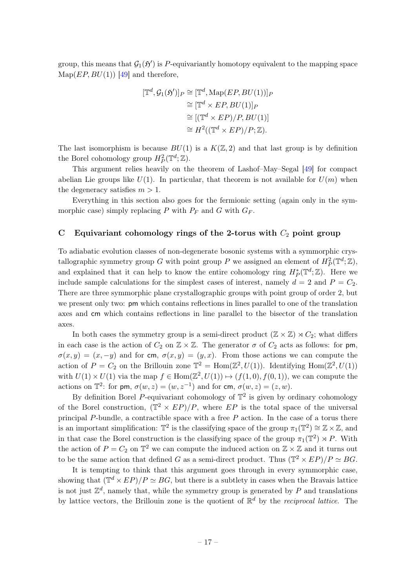group, this means that  $G_1(\mathfrak{H}')$  is P-equivariantly homotopy equivalent to the mapping space  $Map(EP, BU(1))$  [\[49\]](#page-22-7) and therefore,

$$
[\mathbb{T}^d, \mathcal{G}_1(\mathfrak{H}')]_P \cong [\mathbb{T}^d, \text{Map}(EP, BU(1))]_P
$$
  
\n
$$
\cong [\mathbb{T}^d \times EP, BU(1)]_P
$$
  
\n
$$
\cong [(\mathbb{T}^d \times EP)/P, BU(1)]
$$
  
\n
$$
\cong H^2((\mathbb{T}^d \times EP)/P; \mathbb{Z}).
$$

The last isomorphism is because  $BU(1)$  is a  $K(\mathbb{Z}, 2)$  and that last group is by definition the Borel cohomology group  $H_P^2(\mathbb{T}^d;\mathbb{Z})$ .

This argument relies heavily on the theorem of Lashof–May–Segal [\[49\]](#page-22-7) for compact abelian Lie groups like  $U(1)$ . In particular, that theorem is not available for  $U(m)$  when the degeneracy satisfies  $m > 1$ .

Everything in this section also goes for the fermionic setting (again only in the symmorphic case) simply replacing P with  $P_F$  and G with  $G_F$ .

# <span id="page-17-0"></span>C Equivariant cohomology rings of the 2-torus with  $C_2$  point group

To adiabatic evolution classes of non-degenerate bosonic systems with a symmorphic crystallographic symmetry group G with point group P we assigned an element of  $H_P^2(\mathbb{T}^d;\mathbb{Z}),$ and explained that it can help to know the entire cohomology ring  $H^*_P(\mathbb{T}^d;\mathbb{Z})$ . Here we include sample calculations for the simplest cases of interest, namely  $d = 2$  and  $P = C_2$ . There are three symmorphic plane crystallographic groups with point group of order 2, but we present only two: pm which contains reflections in lines parallel to one of the translation axes and cm which contains reflections in line parallel to the bisector of the translation axes.

In both cases the symmetry group is a semi-direct product  $(\mathbb{Z} \times \mathbb{Z}) \rtimes C_2$ ; what differs in each case is the action of  $C_2$  on  $\mathbb{Z} \times \mathbb{Z}$ . The generator  $\sigma$  of  $C_2$  acts as follows: for pm,  $\sigma(x, y) = (x, -y)$  and for cm,  $\sigma(x, y) = (y, x)$ . From those actions we can compute the action of  $P = C_2$  on the Brillouin zone  $\mathbb{T}^2 = \text{Hom}(\mathbb{Z}^2, U(1))$ . Identifying  $\text{Hom}(\mathbb{Z}^2, U(1))$ with  $U(1) \times U(1)$  via the map  $f \in \text{Hom}(\mathbb{Z}^2, U(1)) \mapsto (f(1,0), f(0,1))$ , we can compute the actions on  $\mathbb{T}^2$ : for pm,  $\sigma(w, z) = (w, z^{-1})$  and for cm,  $\sigma(w, z) = (z, w)$ .

By definition Borel P-equivariant cohomology of  $\mathbb{T}^2$  is given by ordinary cohomology of the Borel construction,  $(\mathbb{T}^2 \times EP)/P$ , where EP is the total space of the universal principal P-bundle, a contractible space with a free  $P$  action. In the case of a torus there is an important simplification:  $\mathbb{T}^2$  is the classifying space of the group  $\pi_1(\mathbb{T}^2) \cong \mathbb{Z} \times \mathbb{Z}$ , and in that case the Borel construction is the classifying space of the group  $\pi_1(\mathbb{T}^2) \rtimes P$ . With the action of  $P = C_2$  on  $\mathbb{T}^2$  we can compute the induced action on  $\mathbb{Z} \times \mathbb{Z}$  and it turns out to be the same action that defined G as a semi-direct product. Thus  $(\mathbb{T}^2 \times EP)/P \simeq BG$ .

It is tempting to think that this argument goes through in every symmorphic case, showing that  $(\mathbb{T}^d \times EP)/P \simeq BG$ , but there is a subtlety in cases when the Bravais lattice is not just  $\mathbb{Z}^d$ , namely that, while the symmetry group is generated by P and translations by lattice vectors, the Brillouin zone is the quotient of  $\mathbb{R}^d$  by the *reciprocal lattice*. The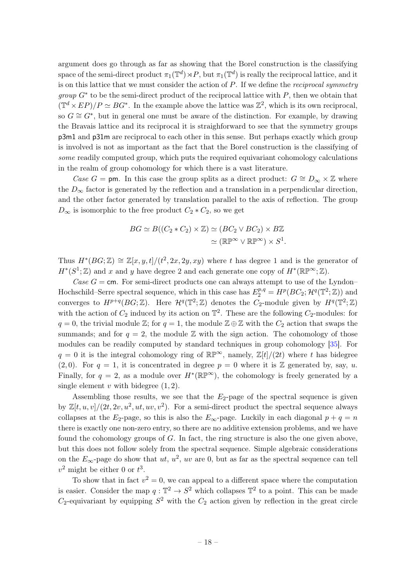argument does go through as far as showing that the Borel construction is the classifying space of the semi-direct product  $\pi_1(\mathbb{T}^d) \rtimes P$ , but  $\pi_1(\mathbb{T}^d)$  is really the reciprocal lattice, and it is on this lattice that we must consider the action of  $P$ . If we define the *reciprocal symmetry group*  $G^*$  to be the semi-direct product of the reciprocal lattice with  $P$ , then we obtain that  $(\mathbb{T}^d \times EP)/P \simeq BG^*$ . In the example above the lattice was  $\mathbb{Z}^2$ , which is its own reciprocal, so  $G \cong G^*$ , but in general one must be aware of the distinction. For example, by drawing the Bravais lattice and its reciprocal it is straighforward to see that the symmetry groups p3m1 and p31m are reciprocal to each other in this sense. But perhaps exactly which group is involved is not as important as the fact that the Borel construction is the classifying of some readily computed group, which puts the required equivariant cohomology calculations in the realm of group cohomology for which there is a vast literature.

Case G = pm. In this case the group splits as a direct product:  $G \cong D_{\infty} \times \mathbb{Z}$  where the  $D_{\infty}$  factor is generated by the reflection and a translation in a perpendicular direction, and the other factor generated by translation parallel to the axis of reflection. The group  $D_{\infty}$  is isomorphic to the free product  $C_2 * C_2$ , so we get

$$
BG \simeq B((C_2 * C_2) \times \mathbb{Z}) \simeq (BC_2 \vee BC_2) \times B\mathbb{Z}
$$

$$
\simeq (\mathbb{RP}^{\infty} \vee \mathbb{RP}^{\infty}) \times S^1.
$$

Thus  $H^*(BG; \mathbb{Z}) \cong \mathbb{Z}[x, y, t]/(t^2, 2x, 2y, xy)$  where t has degree 1 and is the generator of  $H^*(S^1; \mathbb{Z})$  and x and y have degree 2 and each generate one copy of  $H^*(\mathbb{RP}^\infty; \mathbb{Z})$ .

Case  $G = \text{cm}$ . For semi-direct products one can always attempt to use of the Lyndon– Hochschild–Serre spectral sequence, which in this case has  $E_2^{p,q} = H^p(BC_2; \mathcal{H}^q(\mathbb{T}^2; \mathbb{Z}))$  and converges to  $H^{p+q}(BG;\mathbb{Z})$ . Here  $\mathcal{H}^q(\mathbb{T}^2;\mathbb{Z})$  denotes the  $C_2$ -module given by  $H^q(\mathbb{T}^2;\mathbb{Z})$ with the action of  $C_2$  induced by its action on  $\mathbb{T}^2$ . These are the following  $C_2$ -modules: for  $q = 0$ , the trivial module Z; for  $q = 1$ , the module  $\mathbb{Z} \oplus \mathbb{Z}$  with the  $C_2$  action that swaps the summands; and for  $q = 2$ , the module Z with the sign action. The cohomology of those modules can be readily computed by standard techniques in group cohomology [\[35\]](#page-21-21). For  $q = 0$  it is the integral cohomology ring of  $\mathbb{RP}^{\infty}$ , namely,  $\mathbb{Z}[t]/(2t)$  where t has bidegree  $(2, 0)$ . For  $q = 1$ , it is concentrated in degree  $p = 0$  where it is Z generated by, say, u. Finally, for  $q = 2$ , as a module over  $H^*(\mathbb{RP}^{\infty})$ , the cohomology is freely generated by a single element  $v$  with bidegree  $(1, 2)$ .

Assembling those results, we see that the  $E_2$ -page of the spectral sequence is given by  $\mathbb{Z}[t, u, v]/(2t, 2v, u^2, ut, uv, v^2)$ . For a semi-direct product the spectral sequence always collapses at the E<sub>2</sub>-page, so this is also the  $E_{\infty}$ -page. Luckily in each diagonal  $p + q = n$ there is exactly one non-zero entry, so there are no additive extension problems, and we have found the cohomology groups of  $G$ . In fact, the ring structure is also the one given above, but this does not follow solely from the spectral sequence. Simple algebraic considerations on the  $E_{\infty}$ -page do show that  $ut$ ,  $u^2$ ,  $uv$  are 0, but as far as the spectral sequence can tell  $v^2$  might be either 0 or  $t^3$ .

To show that in fact  $v^2 = 0$ , we can appeal to a different space where the computation is easier. Consider the map  $q: \mathbb{T}^2 \to S^2$  which collapses  $\mathbb{T}^2$  to a point. This can be made  $C_2$ -equivariant by equipping  $S^2$  with the  $C_2$  action given by reflection in the great circle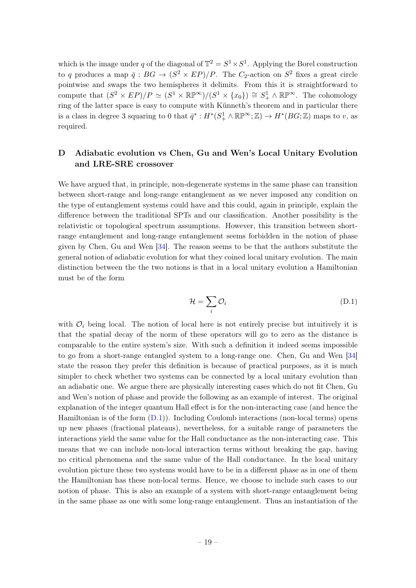which is the image under q of the diagonal of  $\mathbb{T}^2 = S^1 \times S^1$ . Applying the Borel construction to q produces a map  $\bar{q}: BG \to (S^2 \times EP)/P$ . The  $C_2$ -action on  $S^2$  fixes a great circle pointwise and swaps the two hemispheres it delimits. From this it is straightforward to compute that  $(S^2 \times EP)/P \simeq (S^1 \times \mathbb{R}P^{\infty})/(S^1 \times \{x_0\}) \cong S^1_+ \wedge \mathbb{R}P^{\infty}$ . The cohomology ring of the latter space is easy to compute with Künneth's theorem and in particular there is a class in degree 3 squaring to 0 that  $\bar{q}^*: H^*(S^1_+\wedge \mathbb{RP}^\infty;\mathbb{Z})\to H^*(BG;\mathbb{Z})$  maps to v, as required.

# <span id="page-19-0"></span>D Adiabatic evolution vs Chen, Gu and Wen's Local Unitary Evolution and LRE-SRE crossover

We have argued that, in principle, non-degenerate systems in the same phase can transition between short-range and long-range entanglement as we never imposed any condition on the type of entanglement systems could have and this could, again in principle, explain the difference between the traditional SPTs and our classification. Another possibility is the relativistic or topological spectrum assumptions. However, this transition between shortrange entanglement and long-range entanglement seems forbidden in the notion of phase given by Chen, Gu and Wen [\[34\]](#page-21-20). The reason seems to be that the authors substitute the general notion of adiabatic evolution for what they coined local unitary evolution. The main distinction between the the two notions is that in a local unitary evolution a Hamiltonian must be of the form

<span id="page-19-1"></span>
$$
\mathcal{H} = \sum_{i} \mathcal{O}_i \tag{D.1}
$$

with  $\mathcal{O}_i$  being local. The notion of local here is not entirely precise but intuitively it is that the spatial decay of the norm of these operators will go to zero as the distance is comparable to the entire system's size. With such a definition it indeed seems impossible to go from a short-range entangled system to a long-range one. Chen, Gu and Wen [\[34\]](#page-21-20) state the reason they prefer this definition is because of practical purposes, as it is much simpler to check whether two systems can be connected by a local unitary evolution than an adiabatic one. We argue there are physically interesting cases which do not fit Chen, Gu and Wen's notion of phase and provide the following as an example of interest. The original explanation of the integer quantum Hall effect is for the non-interacting case (and hence the Hamiltonian is of the form [\(D.1\)](#page-19-1)). Including Coulomb interactions (non-local terms) opens up new phases (fractional plateaus), nevertheless, for a suitable range of parameters the interactions yield the same value for the Hall conductance as the non-interacting case. This means that we can include non-local interaction terms without breaking the gap, having no critical phenomena and the same value of the Hall conductance. In the local unitary evolution picture these two systems would have to be in a different phase as in one of them the Hamiltonian has these non-local terms. Hence, we choose to include such cases to our notion of phase. This is also an example of a system with short-range entanglement being in the same phase as one with some long-range entanglement. Thus an instantiation of the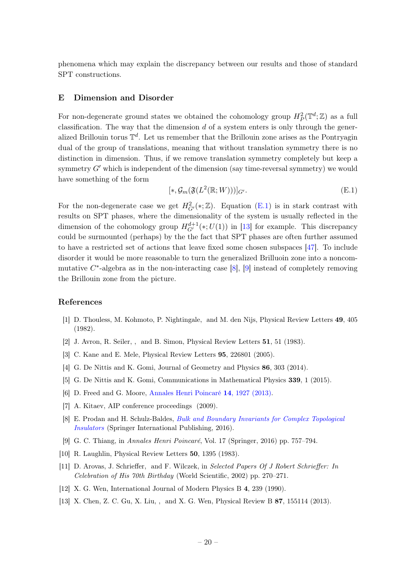phenomena which may explain the discrepancy between our results and those of standard SPT constructions.

#### <span id="page-20-0"></span>E Dimension and Disorder

For non-degenerate ground states we obtained the cohomology group  $H_P^2(\mathbb{T}^d;\mathbb{Z})$  as a full classification. The way that the dimension  $d$  of a system enters is only through the generalized Brillouin torus  $\mathbb{T}^d$ . Let us remember that the Brillouin zone arises as the Pontryagin dual of the group of translations, meaning that without translation symmetry there is no distinction in dimension. Thus, if we remove translation symmetry completely but keep a symmetry  $G'$  which is independent of the dimension (say time-reversal symmetry) we would have something of the form

<span id="page-20-14"></span>
$$
[*, \mathcal{G}_m(\mathfrak{F}(L^2(\mathbb{R};W)))]_{G'}.
$$
\n(E.1)

For the non-degenerate case we get  $H^2_{G'}(*;\mathbb{Z})$ . Equation [\(E.1\)](#page-20-14) is in stark contrast with results on SPT phases, where the dimensionality of the system is usually reflected in the dimension of the cohomology group  $H_{G'}^{d+1}(*, U(1))$  in [\[13\]](#page-20-13) for example. This discrepancy could be surmounted (perhaps) by the the fact that SPT phases are often further assumed to have a restricted set of actions that leave fixed some chosen subspaces [\[47\]](#page-22-5). To include disorder it would be more reasonable to turn the generalized Brilluoin zone into a noncommutative  $C^*$ -algebra as in the non-interacting case [\[8\]](#page-20-8), [\[9\]](#page-20-9) instead of completely removing the Brillouin zone from the picture.

# References

- <span id="page-20-1"></span>[1] D. Thouless, M. Kohmoto, P. Nightingale, and M. den Nijs, Physical Review Letters 49, 405 (1982).
- <span id="page-20-2"></span>[2] J. Avron, R. Seiler, , and B. Simon, Physical Review Letters 51, 51 (1983).
- <span id="page-20-3"></span>[3] C. Kane and E. Mele, Physical Review Letters 95, 226801 (2005).
- <span id="page-20-4"></span>[4] G. De Nittis and K. Gomi, Journal of Geometry and Physics 86, 303 (2014).
- <span id="page-20-5"></span>[5] G. De Nittis and K. Gomi, Communications in Mathematical Physics 339, 1 (2015).
- <span id="page-20-6"></span>[6] D. Freed and G. Moore, [Annales Henri Poincaré](http://dx.doi.org/10.1007/s00023-013-0236-x) 14, 1927 (2013).
- <span id="page-20-7"></span>[7] A. Kitaev, AIP conference proceedings (2009).
- <span id="page-20-8"></span>[8] E. Prodan and H. Schulz-Baldes, [Bulk and Boundary Invariants for Complex Topological](http://dx.doi.org/10.1007/978-3-319-29351-6) [Insulators](http://dx.doi.org/10.1007/978-3-319-29351-6) (Springer International Publishing, 2016).
- <span id="page-20-9"></span>[9] G. C. Thiang, in Annales Henri Poincaré, Vol. 17 (Springer, 2016) pp. 757–794.
- <span id="page-20-10"></span>[10] R. Laughlin, Physical Review Letters 50, 1395 (1983).
- <span id="page-20-11"></span>[11] D. Arovas, J. Schrieffer, and F. Wilczek, in Selected Papers Of J Robert Schrieffer: In Celebration of His 70th Birthday (World Scientific, 2002) pp. 270–271.
- <span id="page-20-12"></span>[12] X. G. Wen, International Journal of Modern Physics B 4, 239 (1990).
- <span id="page-20-13"></span>[13] X. Chen, Z. C. Gu, X. Liu, , and X. G. Wen, Physical Review B 87, 155114 (2013).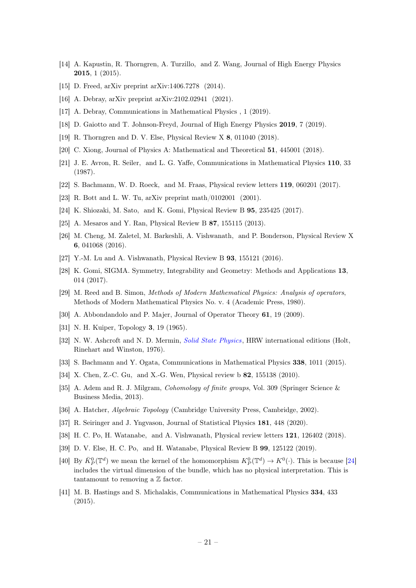- <span id="page-21-0"></span>[14] A. Kapustin, R. Thorngren, A. Turzillo, and Z. Wang, Journal of High Energy Physics 2015, 1 (2015).
- <span id="page-21-1"></span>[15] D. Freed, arXiv preprint arXiv:1406.7278 (2014).
- <span id="page-21-2"></span>[16] A. Debray, arXiv preprint arXiv:2102.02941 (2021).
- <span id="page-21-3"></span>[17] A. Debray, Communications in Mathematical Physics , 1 (2019).
- <span id="page-21-4"></span>[18] D. Gaiotto and T. Johnson-Freyd, Journal of High Energy Physics 2019, 7 (2019).
- <span id="page-21-5"></span>[19] R. Thorngren and D. V. Else, Physical Review X 8, 011040 (2018).
- <span id="page-21-6"></span>[20] C. Xiong, Journal of Physics A: Mathematical and Theoretical 51, 445001 (2018).
- <span id="page-21-7"></span>[21] J. E. Avron, R. Seiler, and L. G. Yaffe, Communications in Mathematical Physics 110, 33 (1987).
- <span id="page-21-8"></span>[22] S. Bachmann, W. D. Roeck, and M. Fraas, Physical review letters 119, 060201 (2017).
- <span id="page-21-9"></span>[23] R. Bott and L. W. Tu, arXiv preprint math/0102001 (2001).
- <span id="page-21-10"></span>[24] K. Shiozaki, M. Sato, and K. Gomi, Physical Review B 95, 235425 (2017).
- <span id="page-21-11"></span>[25] A. Mesaros and Y. Ran, Physical Review B 87, 155115 (2013).
- <span id="page-21-12"></span>[26] M. Cheng, M. Zaletel, M. Barkeshli, A. Vishwanath, and P. Bonderson, Physical Review X 6, 041068 (2016).
- <span id="page-21-13"></span>[27] Y.-M. Lu and A. Vishwanath, Physical Review B 93, 155121 (2016).
- <span id="page-21-14"></span>[28] K. Gomi, SIGMA. Symmetry, Integrability and Geometry: Methods and Applications 13, 014 (2017).
- <span id="page-21-15"></span>[29] M. Reed and B. Simon, Methods of Modern Mathematical Physics: Analysis of operators, Methods of Modern Mathematical Physics No. v. 4 (Academic Press, 1980).
- <span id="page-21-16"></span>[30] A. Abbondandolo and P. Majer, Journal of Operator Theory 61, 19 (2009).
- <span id="page-21-17"></span>[31] N. H. Kuiper, Topology 3, 19 (1965).
- <span id="page-21-18"></span>[32] N. W. Ashcroft and N. D. Mermin, *[Solid State Physics](http://books.google.ca/books?id=1C9HAQAAIAAJ)*, HRW international editions (Holt, Rinehart and Winston, 1976).
- <span id="page-21-19"></span>[33] S. Bachmann and Y. Ogata, Communications in Mathematical Physics 338, 1011 (2015).
- <span id="page-21-20"></span>[34] X. Chen, Z.-C. Gu, and X.-G. Wen, Physical review b **82**, 155138 (2010).
- <span id="page-21-21"></span>[35] A. Adem and R. J. Milgram, *Cohomology of finite groups*, Vol. 309 (Springer Science & Business Media, 2013).
- <span id="page-21-22"></span>[36] A. Hatcher, Algebraic Topology (Cambridge University Press, Cambridge, 2002).
- <span id="page-21-23"></span>[37] R. Seiringer and J. Yngvason, Journal of Statistical Physics 181, 448 (2020).
- <span id="page-21-24"></span>[38] H. C. Po, H. Watanabe, and A. Vishwanath, Physical review letters 121, 126402 (2018).
- <span id="page-21-25"></span>[39] D. V. Else, H. C. Po, and H. Watanabe, Physical Review B 99, 125122 (2019).
- [40] By  $\bar{K}_P^0(\mathbb{T}^d)$  we mean the kernel of the homomorphism  $K_P^0(\mathbb{T}^d) \to K^0(\cdot)$ . This is because [\[24\]](#page-21-10) includes the virtual dimension of the bundle, which has no physical interpretation. This is tantamount to removing a  $\mathbb Z$  factor.
- <span id="page-21-26"></span>[41] M. B. Hastings and S. Michalakis, Communications in Mathematical Physics 334, 433 (2015).